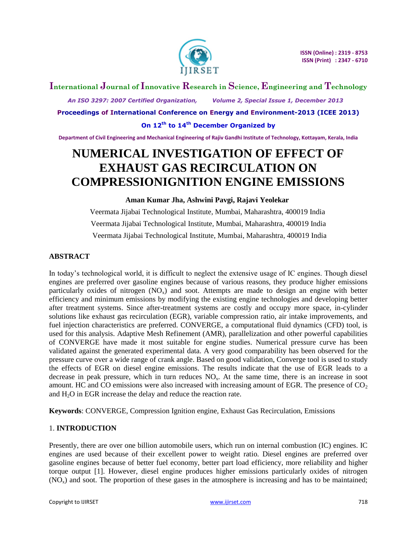

## **International Journal of Innovative Research in Science, Engineering and Technology**

 *An ISO 3297: 2007 Certified Organization, Volume 2, Special Issue 1, December 2013*

**Proceedings of International Conference on Energy and Environment-2013 (ICEE 2013)**

**On 12th to 14th December Organized by**

**Department of Civil Engineering and Mechanical Engineering of Rajiv Gandhi Institute of Technology, Kottayam, Kerala, India**

# **NUMERICAL INVESTIGATION OF EFFECT OF EXHAUST GAS RECIRCULATION ON COMPRESSIONIGNITION ENGINE EMISSIONS**

## **Aman Kumar Jha, Ashwini Pavgi, Rajavi Yeolekar**

Veermata Jijabai Technological Institute, Mumbai, Maharashtra, 400019 India Veermata Jijabai Technological Institute, Mumbai, Maharashtra, 400019 India Veermata Jijabai Technological Institute, Mumbai, Maharashtra, 400019 India

## **ABSTRACT**

In today's technological world, it is difficult to neglect the extensive usage of IC engines. Though diesel engines are preferred over gasoline engines because of various reasons, they produce higher emissions particularly oxides of nitrogen  $(NO<sub>x</sub>)$  and soot. Attempts are made to design an engine with better efficiency and minimum emissions by modifying the existing engine technologies and developing better after treatment systems. Since after-treatment systems are costly and occupy more space, in-cylinder solutions like exhaust gas recirculation (EGR), variable compression ratio, air intake improvements, and fuel injection characteristics are preferred. CONVERGE, a computational fluid dynamics (CFD) tool, is used for this analysis. Adaptive Mesh Refinement (AMR), parallelization and other powerful capabilities of CONVERGE have made it most suitable for engine studies. Numerical pressure curve has been validated against the generated experimental data. A very good comparability has been observed for the pressure curve over a wide range of crank angle. Based on good validation, Converge tool is used to study the effects of EGR on diesel engine emissions. The results indicate that the use of EGR leads to a decrease in peak pressure, which in turn reduces  $NO<sub>x</sub>$ . At the same time, there is an increase in soot amount. HC and CO emissions were also increased with increasing amount of EGR. The presence of  $CO<sub>2</sub>$ and H2O in EGR increase the delay and reduce the reaction rate.

**Keywords**: CONVERGE, Compression Ignition engine, Exhaust Gas Recirculation, Emissions

## 1. **INTRODUCTION**

Presently, there are over one billion automobile users, which run on internal combustion (IC) engines. IC engines are used because of their excellent power to weight ratio. Diesel engines are preferred over gasoline engines because of better fuel economy, better part load efficiency, more reliability and higher torque output [1]. However, diesel engine produces higher emissions particularly oxides of nitrogen  $(NO<sub>x</sub>)$  and soot. The proportion of these gases in the atmosphere is increasing and has to be maintained;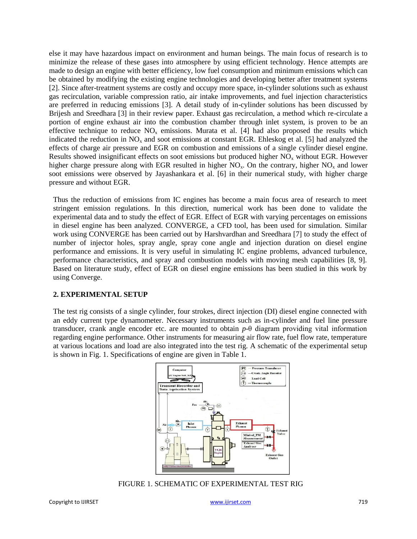else it may have hazardous impact on environment and human beings. The main focus of research is to minimize the release of these gases into atmosphere by using efficient technology. Hence attempts are made to design an engine with better efficiency, low fuel consumption and minimum emissions which can be obtained by modifying the existing engine technologies and developing better after treatment systems [2]. Since after-treatment systems are costly and occupy more space, in-cylinder solutions such as exhaust gas recirculation, variable compression ratio, air intake improvements, and fuel injection characteristics are preferred in reducing emissions [3]. A detail study of in-cylinder solutions has been discussed by Brijesh and Sreedhara [3] in their review paper. Exhaust gas recirculation, a method which re-circulate a portion of engine exhaust air into the combustion chamber through inlet system, is proven to be an effective technique to reduce  $NO<sub>x</sub>$  emissions. Murata et al. [4] had also proposed the results which indicated the reduction in  $NO<sub>x</sub>$  and soot emissions at constant EGR. Ehleskog et al. [5] had analyzed the effects of charge air pressure and EGR on combustion and emissions of a single cylinder diesel engine. Results showed insignificant effects on soot emissions but produced higher  $NO<sub>x</sub>$  without EGR. However higher charge pressure along with EGR resulted in higher  $NO<sub>x</sub>$ . On the contrary, higher  $NO<sub>x</sub>$  and lower soot emissions were observed by Jayashankara et al. [6] in their numerical study, with higher charge pressure and without EGR.

Thus the reduction of emissions from IC engines has become a main focus area of research to meet stringent emission regulations. In this direction, numerical work has been done to validate the experimental data and to study the effect of EGR. Effect of EGR with varying percentages on emissions in diesel engine has been analyzed. CONVERGE, a CFD tool, has been used for simulation. Similar work using CONVERGE has been carried out by Harshvardhan and Sreedhara [7] to study the effect of number of injector holes, spray angle, spray cone angle and injection duration on diesel engine performance and emissions. It is very useful in simulating IC engine problems, advanced turbulence, performance characteristics, and spray and combustion models with moving mesh capabilities [8, 9]. Based on literature study, effect of EGR on diesel engine emissions has been studied in this work by using Converge.

## **2. EXPERIMENTAL SETUP**

The test rig consists of a single cylinder, four strokes, direct injection (DI) diesel engine connected with an eddy current type dynamometer. Necessary instruments such as in-cylinder and fuel line pressure transducer, crank angle encoder etc. are mounted to obtain *p*-θ diagram providing vital information regarding engine performance. Other instruments for measuring air flow rate, fuel flow rate, temperature at various locations and load are also integrated into the test rig. A schematic of the experimental setup is shown in Fig. 1. Specifications of engine are given in Table 1.



FIGURE 1. SCHEMATIC OF EXPERIMENTAL TEST RIG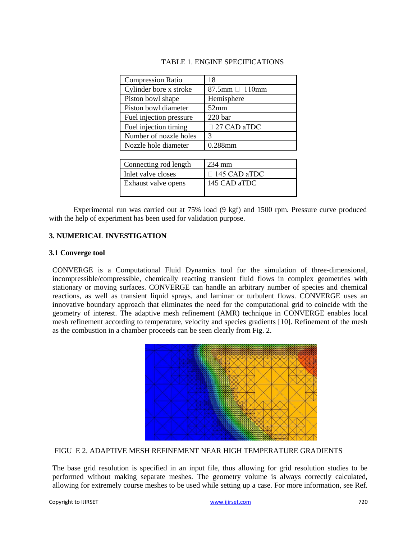| <b>Compression Ratio</b> | 18                     |
|--------------------------|------------------------|
| Cylinder bore x stroke   | $87.5$ mm $\Box$ 110mm |
| Piston bowl shape        | Hemisphere             |
| Piston bowl diameter     | 52mm                   |
| Fuel injection pressure  | 220 <sub>bar</sub>     |
| Fuel injection timing    | 27 CAD aTDC            |
| Number of nozzle holes   | 3                      |
| Nozzle hole diameter     | 0.288mm                |
|                          |                        |
| Connecting rod length    | 234 mm                 |
| Inlet valve closes       | $\Box$ 145 CAD aTDC    |
| Exhaust valve opens      | 145 CAD aTDC           |
|                          |                        |

Experimental run was carried out at 75% load (9 kgf) and 1500 rpm. Pressure curve produced with the help of experiment has been used for validation purpose.

## **3. NUMERICAL INVESTIGATION**

### **3.1 Converge tool**

CONVERGE is a Computational Fluid Dynamics tool for the simulation of three-dimensional, incompressible/compressible, chemically reacting transient fluid flows in complex geometries with stationary or moving surfaces. CONVERGE can handle an arbitrary number of species and chemical reactions, as well as transient liquid sprays, and laminar or turbulent flows. CONVERGE uses an innovative boundary approach that eliminates the need for the computational grid to coincide with the geometry of interest. The adaptive mesh refinement (AMR) technique in CONVERGE enables local mesh refinement according to temperature, velocity and species gradients [10]. Refinement of the mesh as the combustion in a chamber proceeds can be seen clearly from Fig. 2.



#### FIGU E 2. ADAPTIVE MESH REFINEMENT NEAR HIGH TEMPERATURE GRADIENTS

The base grid resolution is specified in an input file, thus allowing for grid resolution studies to be performed without making separate meshes. The geometry volume is always correctly calculated, allowing for extremely course meshes to be used while setting up a case. For more information, see Ref.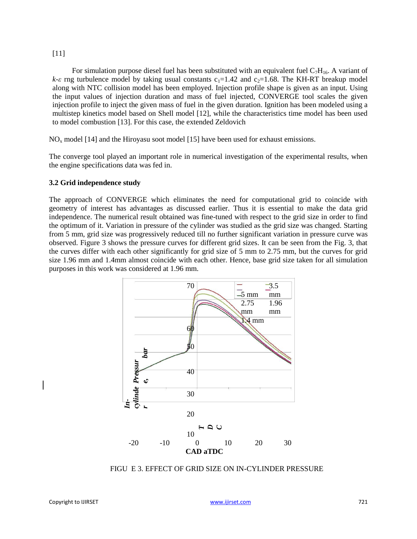#### [11]

For simulation purpose diesel fuel has been substituted with an equivalent fuel  $C_7H_{16}$ . A variant of  $k-\varepsilon$  rng turbulence model by taking usual constants  $c_1=1.42$  and  $c_2=1.68$ . The KH-RT breakup model along with NTC collision model has been employed. Injection profile shape is given as an input. Using the input values of injection duration and mass of fuel injected, CONVERGE tool scales the given injection profile to inject the given mass of fuel in the given duration. Ignition has been modeled using a multistep kinetics model based on Shell model [12], while the characteristics time model has been used to model combustion [13]. For this case, the extended Zeldovich

NO<sup>x</sup> model [14] and the Hiroyasu soot model [15] have been used for exhaust emissions.

The converge tool played an important role in numerical investigation of the experimental results, when the engine specifications data was fed in.

#### **3.2 Grid independence study**

The approach of CONVERGE which eliminates the need for computational grid to coincide with geometry of interest has advantages as discussed earlier. Thus it is essential to make the data grid independence. The numerical result obtained was fine-tuned with respect to the grid size in order to find the optimum of it. Variation in pressure of the cylinder was studied as the grid size was changed. Starting from 5 mm, grid size was progressively reduced till no further significant variation in pressure curve was observed. Figure 3 shows the pressure curves for different grid sizes. It can be seen from the Fig. 3, that the curves differ with each other significantly for grid size of 5 mm to 2.75 mm, but the curves for grid size 1.96 mm and 1.4mm almost coincide with each other. Hence, base grid size taken for all simulation purposes in this work was considered at 1.96 mm.



FIGU E 3. EFFECT OF GRID SIZE ON IN-CYLINDER PRESSURE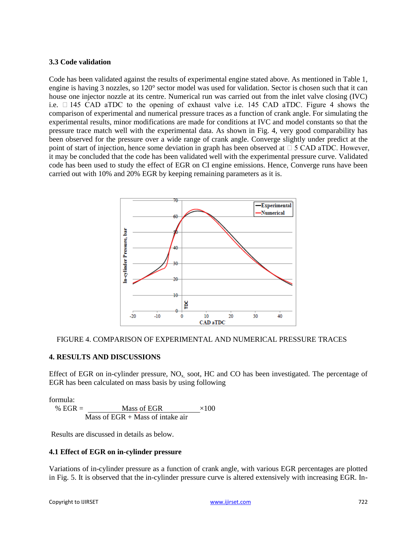## **3.3 Code validation**

Code has been validated against the results of experimental engine stated above. As mentioned in Table 1, engine is having 3 nozzles, so 120° sector model was used for validation. Sector is chosen such that it can house one injector nozzle at its centre. Numerical run was carried out from the inlet valve closing (IVC) i.e. 145 CAD aTDC to the opening of exhaust valve i.e. 145 CAD aTDC. Figure 4 shows the comparison of experimental and numerical pressure traces as a function of crank angle. For simulating the experimental results, minor modifications are made for conditions at IVC and model constants so that the pressure trace match well with the experimental data. As shown in Fig. 4, very good comparability has been observed for the pressure over a wide range of crank angle. Converge slightly under predict at the point of start of injection, hence some deviation in graph has been observed at  $\square$  5 CAD aTDC. However, it may be concluded that the code has been validated well with the experimental pressure curve. Validated code has been used to study the effect of EGR on CI engine emissions. Hence, Converge runs have been carried out with 10% and 20% EGR by keeping remaining parameters as it is.





## **4. RESULTS AND DISCUSSIONS**

Effect of EGR on in-cylinder pressure,  $NO<sub>x</sub>$  soot, HC and CO has been investigated. The percentage of EGR has been calculated on mass basis by using following

formula:

% EGR =  $Mass of EGR$   $\times 100$ Mass of  $EGR + Mass$  of intake air

Results are discussed in details as below.

## **4.1 Effect of EGR on in-cylinder pressure**

Variations of in-cylinder pressure as a function of crank angle, with various EGR percentages are plotted in Fig. 5. It is observed that the in-cylinder pressure curve is altered extensively with increasing EGR. In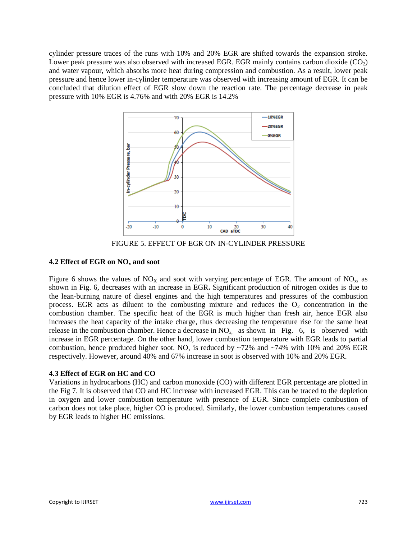cylinder pressure traces of the runs with 10% and 20% EGR are shifted towards the expansion stroke. Lower peak pressure was also observed with increased EGR. EGR mainly contains carbon dioxide  $(CO<sub>2</sub>)$ and water vapour, which absorbs more heat during compression and combustion. As a result, lower peak pressure and hence lower in-cylinder temperature was observed with increasing amount of EGR. It can be concluded that dilution effect of EGR slow down the reaction rate. The percentage decrease in peak pressure with 10% EGR is 4.76% and with 20% EGR is 14.2%



FIGURE 5. EFFECT OF EGR ON IN-CYLINDER PRESSURE

## **4.2 Effect of EGR on NO<sup>x</sup> and soot**

Figure 6 shows the values of  $NO<sub>x</sub>$  and soot with varying percentage of EGR. The amount of  $NO<sub>x</sub>$ , as shown in Fig. 6, decreases with an increase in EGR**.** Significant production of nitrogen oxides is due to the lean-burning nature of diesel engines and the high temperatures and pressures of the combustion process. EGR acts as diluent to the combusting mixture and reduces the  $O_2$  concentration in the combustion chamber. The specific heat of the EGR is much higher than fresh air, hence EGR also increases the heat capacity of the intake charge, thus decreasing the temperature rise for the same heat release in the combustion chamber. Hence a decrease in  $NO<sub>x</sub>$  as shown in Fig. 6, is observed with increase in EGR percentage. On the other hand, lower combustion temperature with EGR leads to partial combustion, hence produced higher soot. NO<sub>x</sub> is reduced by  $\sim$ 72% and  $\sim$ 74% with 10% and 20% EGR respectively. However, around 40% and 67% increase in soot is observed with 10% and 20% EGR.

## **4.3 Effect of EGR on HC and CO**

Variations in hydrocarbons (HC) and carbon monoxide (CO) with different EGR percentage are plotted in the Fig 7. It is observed that CO and HC increase with increased EGR. This can be traced to the depletion in oxygen and lower combustion temperature with presence of EGR. Since complete combustion of carbon does not take place, higher CO is produced. Similarly, the lower combustion temperatures caused by EGR leads to higher HC emissions.